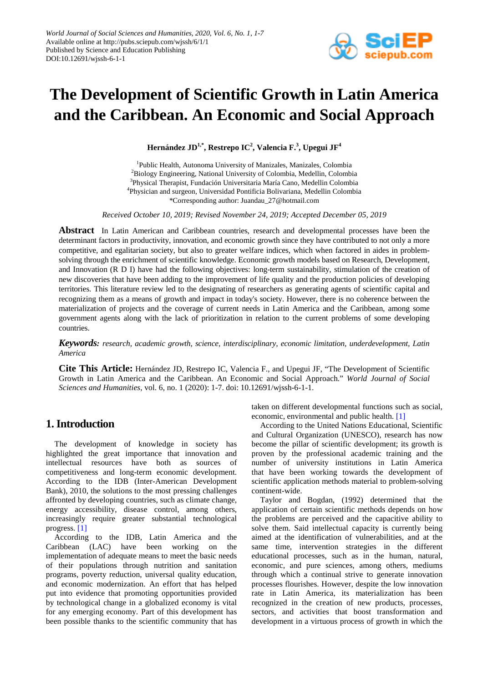

# **The Development of Scientific Growth in Latin America and the Caribbean. An Economic and Social Approach**

**Hernández JD1,\* , Restrepo IC<sup>2</sup> , Valencia F.<sup>3</sup> , Upegui JF<sup>4</sup>**

1 Public Health, Autonoma University of Manizales, Manizales, Colombia <sup>2</sup>Biology Engineering, National University of Colombia, Medellin, Colombia <sup>3</sup>Physical Therapist, Fundación Universitaria María Cano, Medellin Colombia 4 Physician and surgeon, Universidad Pontificia Bolivariana, Medellin Colombia \*Corresponding author: Juandau\_27@hotmail.com

*Received October 10, 2019; Revised November 24, 2019; Accepted December 05, 2019*

**Abstract** In Latin American and Caribbean countries, research and developmental processes have been the determinant factors in productivity, innovation, and economic growth since they have contributed to not only a more competitive, and egalitarian society, but also to greater welfare indices, which when factored in aides in problemsolving through the enrichment of scientific knowledge. Economic growth models based on Research, Development, and Innovation (R D I) have had the following objectives: long-term sustainability, stimulation of the creation of new discoveries that have been adding to the improvement of life quality and the production policies of developing territories. This literature review led to the designating of researchers as generating agents of scientific capital and recognizing them as a means of growth and impact in today's society. However, there is no coherence between the materialization of projects and the coverage of current needs in Latin America and the Caribbean, among some government agents along with the lack of prioritization in relation to the current problems of some developing countries.

*Keywords: research, academic growth, science, interdisciplinary, economic limitation, underdevelopment, Latin America*

**Cite This Article:** Hernández JD, Restrepo IC, Valencia F., and Upegui JF, "The Development of Scientific Growth in Latin America and the Caribbean. An Economic and Social Approach." *World Journal of Social Sciences and Humanities*, vol. 6, no. 1 (2020): 1-7. doi: 10.12691/wjssh-6-1-1.

## **1. Introduction**

The development of knowledge in society has highlighted the great importance that innovation and intellectual resources have both as sources of competitiveness and long-term economic development. According to the IDB (Inter-American Development Bank), 2010, the solutions to the most pressing challenges affronted by developing countries, such as climate change, energy accessibility, disease control, among others, increasingly require greater substantial technological progress. [\[1\]](#page-6-0)

According to the IDB, Latin America and the Caribbean (LAC) have been working on the implementation of adequate means to meet the basic needs of their populations through nutrition and sanitation programs, poverty reduction, universal quality education, and economic modernization. An effort that has helped put into evidence that promoting opportunities provided by technological change in a globalized economy is vital for any emerging economy. Part of this development has been possible thanks to the scientific community that has taken on different developmental functions such as social, economic, environmental and public health. [\[1\]](#page-6-0)

According to the United Nations Educational, Scientific and Cultural Organization (UNESCO), research has now become the pillar of scientific development; its growth is proven by the professional academic training and the number of university institutions in Latin America that have been working towards the development of scientific application methods material to problem-solving continent-wide.

Taylor and Bogdan, (1992) determined that the application of certain scientific methods depends on how the problems are perceived and the capacitive ability to solve them. Said intellectual capacity is currently being aimed at the identification of vulnerabilities, and at the same time, intervention strategies in the different educational processes, such as in the human, natural, economic, and pure sciences, among others, mediums through which a continual strive to generate innovation processes flourishes. However, despite the low innovation rate in Latin America, its materialization has been recognized in the creation of new products, processes, sectors, and activities that boost transformation and development in a virtuous process of growth in which the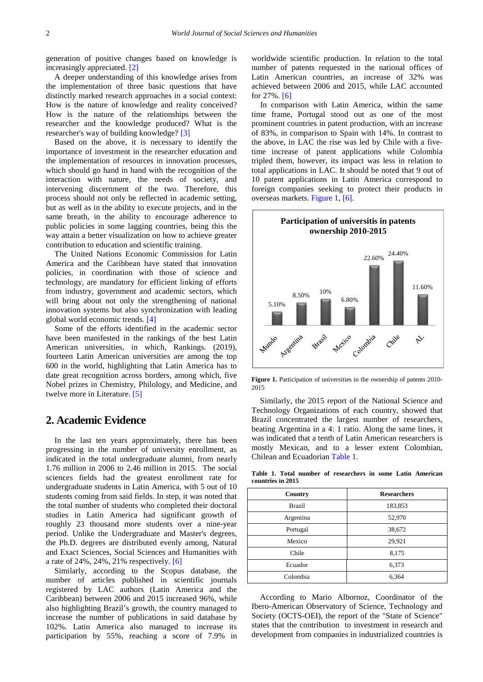generation of positive changes based on knowledge is increasingly appreciated. [\[2\]](#page-6-1)

A deeper understanding of this knowledge arises from the implementation of three basic questions that have distinctly marked research approaches in a social context: How is the nature of knowledge and reality conceived? How is the nature of the relationships between the researcher and the knowledge produced? What is the researcher's way of building knowledge? [\[3\]](#page-6-2)

Based on the above, it is necessary to identify the importance of investment in the researcher education and the implementation of resources in innovation processes, which should go hand in hand with the recognition of the interaction with nature, the needs of society, and intervening discernment of the two. Therefore, this process should not only be reflected in academic setting, but as well as in the ability to execute projects, and in the same breath, in the ability to encourage adherence to public policies in some lagging countries, being this the way attain a better visualization on how to achieve greater contribution to education and scientific training.

The United Nations Economic Commission for Latin America and the Caribbean have stated that innovation policies, in coordination with those of science and technology, are mandatory for efficient linking of efforts from industry, government and academic sectors, which will bring about not only the strengthening of national innovation systems but also synchronization with leading global world economic trends. [\[4\]](#page-6-3)

Some of the efforts identified in the academic sector have been manifested in the rankings of the best Latin American universities, in which, Rankings. (2019), fourteen Latin American universities are among the top 600 in the world, highlighting that Latin America has to date great recognition across borders, among which, five Nobel prizes in Chemistry, Philology, and Medicine, and twelve more in Literature. [\[5\]](#page-6-4)

#### **2. Academic Evidence**

In the last ten years approximately, there has been progressing in the number of university enrollment, as indicated in the total undergraduate alumni, from nearly 1.76 million in 2006 to 2.46 million in 2015. The social sciences fields had the greatest enrollment rate for undergraduate students in Latin America, with 5 out of 10 students coming from said fields. In step, it was noted that the total number of students who completed their doctoral studies in Latin America had significant growth of roughly 23 thousand more students over a nine-year period. Unlike the Undergraduate and Master's degrees, the Ph.D. degrees are distributed evenly among, Natural and Exact Sciences, Social Sciences and Humanities with a rate of 24%, 24%, 21% respectively. [\[6\]](#page-6-5)

Similarly, according to the Scopus database, the number of articles published in scientific journals registered by LAC authors (Latin America and the Caribbean) between 2006 and 2015 increased 96%, while also highlighting Brazil's growth, the country managed to increase the number of publications in said database by 102%. Latin America also managed to increase its participation by 55%, reaching a score of 7.9% in worldwide scientific production. In relation to the total number of patents requested in the national offices of Latin American countries, an increase of 32% was achieved between 2006 and 2015, while LAC accounted for 27%[. \[6\]](#page-6-5)

In comparison with Latin America, within the same time frame, Portugal stood out as one of the most prominent countries in patent production, with an increase of 83%, in comparison to Spain with 14%. In contrast to the above, in LAC the rise was led by Chile with a fivetime increase of patent applications while Colombia tripled them, however, its impact was less in relation to total applications in LAC. It should be noted that 9 out of 10 patent applications in Latin America correspond to foreign companies seeking to protect their products in overseas markets. [Figure 1,](#page-1-0) [\[6\].](#page-6-5)

<span id="page-1-0"></span>

**Figure 1.** Participation of universities in the ownership of patents 2010-2015

Similarly, the 2015 report of the National Science and Technology Organizations of each country, showed that Brazil concentrated the largest number of researchers, beating Argentina in a 4: 1 ratio. Along the same lines, it was indicated that a tenth of Latin American researchers is mostly Mexican, and to a lesser extent Colombian, Chilean and Ecuadorian [Table 1.](#page-1-1)

**Table 1. Total number of researchers in some Latin American countries in 2015** 

<span id="page-1-1"></span>

| Country       | <b>Researchers</b> |
|---------------|--------------------|
| <b>Brazil</b> | 183,853            |
| Argentina     | 52,970             |
| Portugal      | 38,672             |
| Mexico        | 29,921             |
| Chile         | 8,175              |
| Ecuador       | 6,373              |
| Colombia      | 6,364              |

According to Mario Albornoz, Coordinator of the Ibero-American Observatory of Science, Technology and Society (OCTS-OEI), the report of the "State of Science" states that the contribution to investment in research and development from companies in industrialized countries is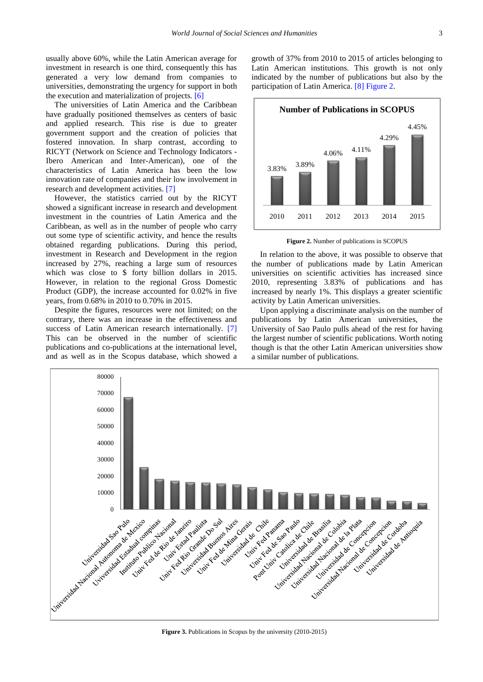usually above 60%, while the Latin American average for investment in research is one third, consequently this has generated a very low demand from companies to universities, demonstrating the urgency for support in both the execution and materialization of projects[. \[6\]](#page-6-5)

The universities of Latin America and the Caribbean have gradually positioned themselves as centers of basic and applied research. This rise is due to greater government support and the creation of policies that fostered innovation. In sharp contrast, according to RICYT (Network on Science and Technology Indicators - Ibero American and Inter-American), one of the characteristics of Latin America has been the low innovation rate of companies and their low involvement in research and development activities[. \[7\]](#page-6-6)

However, the statistics carried out by the RICYT showed a significant increase in research and development investment in the countries of Latin America and the Caribbean, as well as in the number of people who carry out some type of scientific activity, and hence the results obtained regarding publications. During this period, investment in Research and Development in the region increased by 27%, reaching a large sum of resources which was close to \$ forty billion dollars in 2015. However, in relation to the regional Gross Domestic Product (GDP), the increase accounted for 0.02% in five years, from 0.68% in 2010 to 0.70% in 2015.

Despite the figures, resources were not limited; on the contrary, there was an increase in the effectiveness and success of Latin American research internationally. [\[7\]](#page-6-6) This can be observed in the number of scientific publications and co-publications at the international level, and as well as in the Scopus database, which showed a growth of 37% from 2010 to 2015 of articles belonging to Latin American institutions. This growth is not only indicated by the number of publications but also by the participation of Latin America. [\[8\]](#page-6-7) [Figure 2.](#page-2-0)

<span id="page-2-0"></span>

**Figure 2.** Number of publications in SCOPUS

In relation to the above, it was possible to observe that the number of publications made by Latin American universities on scientific activities has increased since 2010, representing 3.83% of publications and has increased by nearly 1%. This displays a greater scientific activity by Latin American universities.

Upon applying a discriminate analysis on the number of publications by Latin American universities, the University of Sao Paulo pulls ahead of the rest for having the largest number of scientific publications. Worth noting though is that the other Latin American universities show a similar number of publications.



**Figure 3.** Publications in Scopus by the university (2010-2015)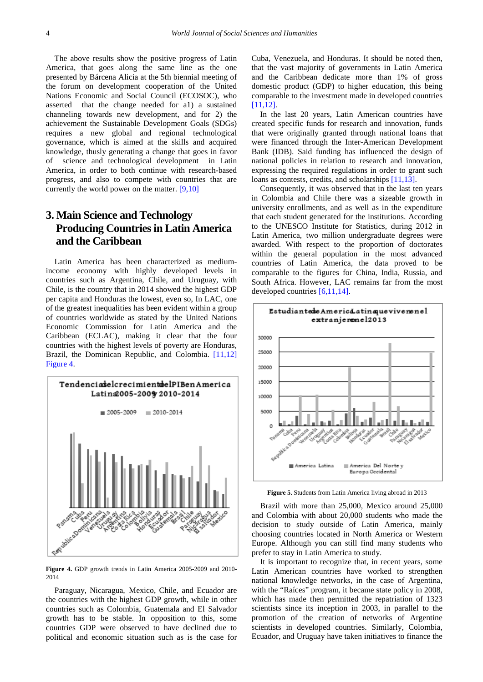The above results show the positive progress of Latin America, that goes along the same line as the one presented by Bárcena Alicia at the 5th biennial meeting of the forum on development cooperation of the United Nations Economic and Social Council (ECOSOC), who asserted that the change needed for a1) a sustained channeling towards new development, and for 2) the achievement the Sustainable Development Goals (SDGs) requires a new global and regional technological governance, which is aimed at the skills and acquired knowledge, thusly generating a change that goes in favor of science and technological development in Latin America, in order to both continue with research-based progress, and also to compete with countries that are currently the world power on the matter. [\[9,10\]](#page-6-8)

## **3. Main Science and Technology Producing Countries in Latin America and the Caribbean**

Latin America has been characterized as mediumincome economy with highly developed levels in countries such as Argentina, Chile, and Uruguay, with Chile, is the country that in 2014 showed the highest GDP per capita and Honduras the lowest, even so, In LAC, one of the greatest inequalities has been evident within a group of countries worldwide as stated by the United Nations Economic Commission for Latin America and the Caribbean (ECLAC), making it clear that the four countries with the highest levels of poverty are Honduras, Brazil, the Dominican Republic, and Colombia. [\[11,12\]](#page-6-9) [Figure 4.](#page-3-0)

<span id="page-3-0"></span>

**Figure 4.** GDP growth trends in Latin America 2005-2009 and 2010- 2014

Paraguay, Nicaragua, Mexico, Chile, and Ecuador are the countries with the highest GDP growth, while in other countries such as Colombia, Guatemala and El Salvador growth has to be stable. In opposition to this, some countries GDP were observed to have declined due to political and economic situation such as is the case for Cuba, Venezuela, and Honduras. It should be noted then, that the vast majority of governments in Latin America and the Caribbean dedicate more than 1% of gross domestic product (GDP) to higher education, this being comparable to the investment made in developed countries [\[11,12\].](#page-6-9)

In the last 20 years, Latin American countries have created specific funds for research and innovation, funds that were originally granted through national loans that were financed through the Inter-American Development Bank (IDB). Said funding has influenced the design of national policies in relation to research and innovation, expressing the required regulations in order to grant such loans as contests, credits, and scholarships [\[11,13\].](#page-6-9)

Consequently, it was observed that in the last ten years in Colombia and Chile there was a sizeable growth in university enrollments, and as well as in the expenditure that each student generated for the institutions. According to the UNESCO Institute for Statistics, during 2012 in Latin America, two million undergraduate degrees were awarded. With respect to the proportion of doctorates within the general population in the most advanced countries of Latin America, the data proved to be comparable to the figures for China, India, Russia, and South Africa. However, LAC remains far from the most developed countries [\[6,11,14\].](#page-6-5)



**Figure 5.** Students from Latin America living abroad in 2013

Brazil with more than 25,000, Mexico around 25,000 and Colombia with about 20,000 students who made the decision to study outside of Latin America, mainly choosing countries located in North America or Western Europe. Although you can still find many students who prefer to stay in Latin America to study.

It is important to recognize that, in recent years, some Latin American countries have worked to strengthen national knowledge networks, in the case of Argentina, with the "Raíces" program, it became state policy in 2008, which has made then permitted the repatriation of 1323 scientists since its inception in 2003, in parallel to the promotion of the creation of networks of Argentine scientists in developed countries. Similarly, Colombia, Ecuador, and Uruguay have taken initiatives to finance the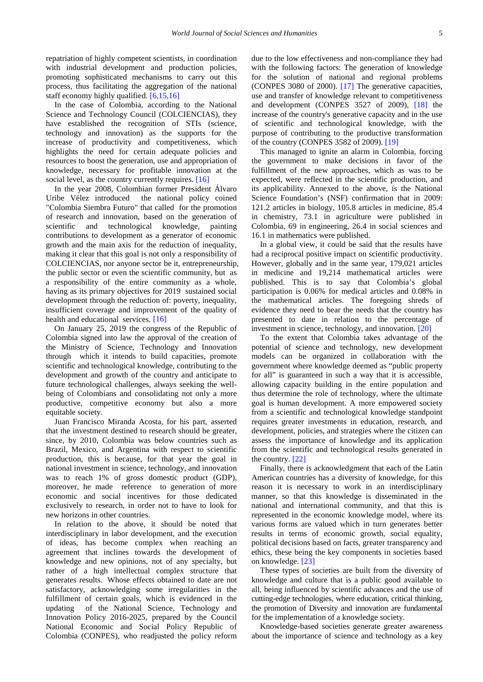repatriation of highly competent scientists, in coordination with industrial development and production policies, promoting sophisticated mechanisms to carry out this process, thus facilitating the aggregation of the national staff economy highly qualified. [\[6,15,16\]](#page-6-5)

In the case of Colombia, according to the National Science and Technology Council (COLCIENCIAS), they have established the recognition of STIs (science, technology and innovation) as the supports for the increase of productivity and competitiveness, which highlights the need for certain adequate policies and resources to boost the generation, use and appropriation of knowledge, necessary for profitable innovation at the social level, as the country currently requires. [\[16\]](#page-6-10)

In the year 2008, Colombian former President Álvaro Uribe Vélez introduced the national policy coined "Colombia Siembra Futuro" that called for the promotion of research and innovation, based on the generation of scientific and technological knowledge, painting contributions to development as a generator of economic growth and the main axis for the reduction of inequality, making it clear that this goal is not only a responsibility of COLCIENCIAS, nor anyone sector be it, entrepreneurship, the public sector or even the scientific community, but as a responsibility of the entire community as a whole, having as its primary objectives for 2019 sustained social development through the reduction of: poverty, inequality, insufficient coverage and improvement of the quality of health and educational services. [\[16\]](#page-6-10)

On January 25, 2019 the congress of the Republic of Colombia signed into law the approval of the creation of the Ministry of Science, Technology and Innovation through which it intends to build capacities, promote scientific and technological knowledge, contributing to the development and growth of the country and anticipate to future technological challenges, always seeking the wellbeing of Colombians and consolidating not only a more productive, competitive economy but also a more equitable society.

Juan Francisco Miranda Acosta, for his part, asserted that the investment destined to research should be greater, since, by 2010, Colombia was below countries such as Brazil, Mexico, and Argentina with respect to scientific production, this is because, for that year the goal in national investment in science, technology, and innovation was to reach 1% of gross domestic product (GDP), moreover, he made reference to generation of more economic and social incentives for those dedicated exclusively to research, in order not to have to look for new horizons in other countries.

In relation to the above, it should be noted that interdisciplinary in labor development, and the execution of ideas, has become complex when reaching an agreement that inclines towards the development of knowledge and new opinions, not of any specialty, but rather of a high intellectual complex structure that generates results. Whose effects obtained to date are not satisfactory, acknowledging some irregularities in the fulfillment of certain goals, which is evidenced in the updating of the National Science, Technology and Innovation Policy 2016-2025, prepared by the Council National Economic and Social Policy Republic of Colombia (CONPES), who readjusted the policy reform

due to the low effectiveness and non-compliance they had with the following factors: The generation of knowledge for the solution of national and regional problems (CONPES 3080 of 2000). [\[17\]](#page-6-11) The generative capacities, use and transfer of knowledge relevant to competitiveness and development (CONPES 3527 of 2009), [\[18\]](#page-6-12) the increase of the country's generative capacity and in the use of scientific and technological knowledge, with the purpose of contributing to the productive transformation of the country (CONPES 3582 of 2009). [\[19\]](#page-6-13)

This managed to ignite an alarm in Colombia, forcing the government to make decisions in favor of the fulfillment of the new approaches, which as was to be expected, were reflected in the scientific production, and its applicability. Annexed to the above, is the National Science Foundation's (NSF) confirmation that in 2009: 121.2 articles in biology, 105.8 articles in medicine, 85.4 in chemistry, 73.1 in agriculture were published in Colombia, 69 in engineering, 26.4 in social sciences and 16.1 in mathematics were published.

In a global view, it could be said that the results have had a reciprocal positive impact on scientific productivity. However, globally and in the same year, 179,021 articles in medicine and 19,214 mathematical articles were published. This is to say that Colombia's global participation is 0.06% for medical articles and 0.08% in the mathematical articles. The foregoing shreds of evidence they need to bear the needs that the country has presented to date in relation to the percentage of investment in science, technology, and innovation. [\[20\]](#page-6-14)

To the extent that Colombia takes advantage of the potential of science and technology, new development models can be organized in collaboration with the government where knowledge deemed as "public property for all" is guaranteed in such a way that it is accessible, allowing capacity building in the entire population and thus determine the role of technology, where the ultimate goal is human development. A more empowered society from a scientific and technological knowledge standpoint requires greater investments in education, research, and development, policies, and strategies where the citizen can assess the importance of knowledge and its application from the scientific and technological results generated in the country. [\[22\]](#page-6-15)

Finally, there is acknowledgment that each of the Latin American countries has a diversity of knowledge, for this reason it is necessary to work in an interdisciplinary manner, so that this knowledge is disseminated in the national and international community, and that this is represented in the economic knowledge model, where its various forms are valued which in turn generates better results in terms of economic growth, social equality, political decisions based on facts, greater transparency and ethics, these being the key components in societies based on knowledge. [\[23\]](#page-6-16)

These types of societies are built from the diversity of knowledge and culture that is a public good available to all, being influenced by scientific advances and the use of cutting-edge technologies, where education, critical thinking, the promotion of Diversity and innovation are fundamental for the implementation of a knowledge society.

Knowledge-based societies generate greater awareness about the importance of science and technology as a key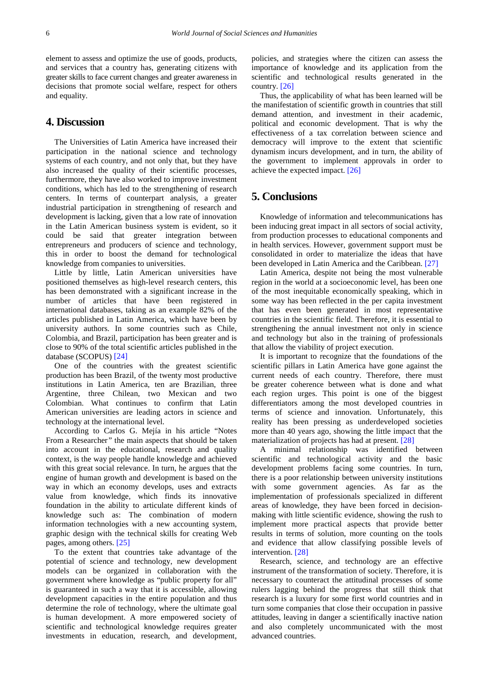element to assess and optimize the use of goods, products, and services that a country has, generating citizens with greater skills to face current changes and greater awareness in decisions that promote social welfare, respect for others and equality.

#### **4. Discussion**

The Universities of Latin America have increased their participation in the national science and technology systems of each country, and not only that, but they have also increased the quality of their scientific processes, furthermore, they have also worked to improve investment conditions, which has led to the strengthening of research centers. In terms of counterpart analysis, a greater industrial participation in strengthening of research and development is lacking, given that a low rate of innovation in the Latin American business system is evident, so it could be said that greater integration between entrepreneurs and producers of science and technology, this in order to boost the demand for technological knowledge from companies to universities.

Little by little, Latin American universities have positioned themselves as high-level research centers, this has been demonstrated with a significant increase in the number of articles that have been registered in international databases, taking as an example 82% of the articles published in Latin America, which have been by university authors. In some countries such as Chile, Colombia, and Brazil, participation has been greater and is close to 90% of the total scientific articles published in the database (SCOPUS) [\[24\]](#page-6-17)

One of the countries with the greatest scientific production has been Brazil, of the twenty most productive institutions in Latin America, ten are Brazilian, three Argentine, three Chilean, two Mexican and two Colombian. What continues to confirm that Latin American universities are leading actors in science and technology at the international level.

According to Carlos G. Mejía in his article "Notes From a Researcher*"* the main aspects that should be taken into account in the educational, research and quality context, is the way people handle knowledge and achieved with this great social relevance. In turn, he argues that the engine of human growth and development is based on the way in which an economy develops, uses and extracts value from knowledge, which finds its innovative foundation in the ability to articulate different kinds of knowledge such as: The combination of modern information technologies with a new accounting system, graphic design with the technical skills for creating Web pages, among others. [\[25\]](#page-6-18)

To the extent that countries take advantage of the potential of science and technology, new development models can be organized in collaboration with the government where knowledge as "public property for all" is guaranteed in such a way that it is accessible, allowing development capacities in the entire population and thus determine the role of technology, where the ultimate goal is human development. A more empowered society of scientific and technological knowledge requires greater investments in education, research, and development, policies, and strategies where the citizen can assess the importance of knowledge and its application from the scientific and technological results generated in the country. [\[26\]](#page-6-19)

Thus, the applicability of what has been learned will be the manifestation of scientific growth in countries that still demand attention, and investment in their academic, political and economic development. That is why the effectiveness of a tax correlation between science and democracy will improve to the extent that scientific dynamism incurs development, and in turn, the ability of the government to implement approvals in order to achieve the expected impact. [\[26\]](#page-6-19)

#### **5. Conclusions**

Knowledge of information and telecommunications has been inducing great impact in all sectors of social activity, from production processes to educational components and in health services. However, government support must be consolidated in order to materialize the ideas that have been developed in Latin America and the Caribbean. [\[27\]](#page-6-20)

Latin America, despite not being the most vulnerable region in the world at a socioeconomic level, has been one of the most inequitable economically speaking, which in some way has been reflected in the per capita investment that has even been generated in most representative countries in the scientific field. Therefore, it is essential to strengthening the annual investment not only in science and technology but also in the training of professionals that allow the viability of project execution.

It is important to recognize that the foundations of the scientific pillars in Latin America have gone against the current needs of each country. Therefore, there must be greater coherence between what is done and what each region urges. This point is one of the biggest differentiators among the most developed countries in terms of science and innovation. Unfortunately, this reality has been pressing as underdeveloped societies more than 40 years ago, showing the little impact that the materialization of projects has had at present. [\[28\]](#page-6-21)

A minimal relationship was identified between scientific and technological activity and the basic development problems facing some countries. In turn, there is a poor relationship between university institutions with some government agencies. As far as the implementation of professionals specialized in different areas of knowledge, they have been forced in decisionmaking with little scientific evidence, showing the rush to implement more practical aspects that provide better results in terms of solution, more counting on the tools and evidence that allow classifying possible levels of intervention. [\[28\]](#page-6-21)

Research, science, and technology are an effective instrument of the transformation of society. Therefore, it is necessary to counteract the attitudinal processes of some rulers lagging behind the progress that still think that research is a luxury for some first world countries and in turn some companies that close their occupation in passive attitudes, leaving in danger a scientifically inactive nation and also completely uncommunicated with the most advanced countries.